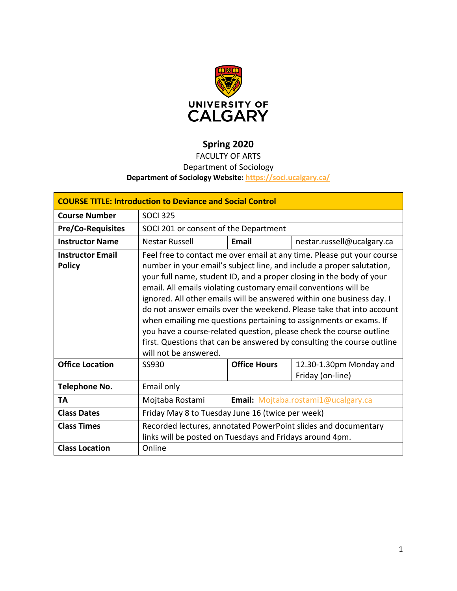

# **Spring 2020**

# FACULTY OF ARTS

# Department of Sociology

# **Department of Sociology Website:<https://soci.ucalgary.ca/>**

| <b>COURSE TITLE: Introduction to Deviance and Social Control</b> |                                                                                                 |                     |                            |  |  |  |
|------------------------------------------------------------------|-------------------------------------------------------------------------------------------------|---------------------|----------------------------|--|--|--|
| <b>Course Number</b>                                             | <b>SOCI 325</b>                                                                                 |                     |                            |  |  |  |
| <b>Pre/Co-Requisites</b>                                         | SOCI 201 or consent of the Department                                                           |                     |                            |  |  |  |
| <b>Instructor Name</b>                                           | Nestar Russell                                                                                  | Email               | nestar.russell@ucalgary.ca |  |  |  |
| <b>Instructor Email</b>                                          | Feel free to contact me over email at any time. Please put your course                          |                     |                            |  |  |  |
| <b>Policy</b>                                                    | number in your email's subject line, and include a proper salutation,                           |                     |                            |  |  |  |
|                                                                  | your full name, student ID, and a proper closing in the body of your                            |                     |                            |  |  |  |
|                                                                  | email. All emails violating customary email conventions will be                                 |                     |                            |  |  |  |
|                                                                  | ignored. All other emails will be answered within one business day. I                           |                     |                            |  |  |  |
|                                                                  | do not answer emails over the weekend. Please take that into account                            |                     |                            |  |  |  |
|                                                                  | when emailing me questions pertaining to assignments or exams. If                               |                     |                            |  |  |  |
|                                                                  | you have a course-related question, please check the course outline                             |                     |                            |  |  |  |
|                                                                  | first. Questions that can be answered by consulting the course outline<br>will not be answered. |                     |                            |  |  |  |
| <b>Office Location</b>                                           | SS930                                                                                           | <b>Office Hours</b> | 12.30-1.30pm Monday and    |  |  |  |
|                                                                  |                                                                                                 |                     | Friday (on-line)           |  |  |  |
| Telephone No.                                                    | Email only                                                                                      |                     |                            |  |  |  |
| TA                                                               | Email: Mojtaba.rostami1@ucalgary.ca<br>Mojtaba Rostami                                          |                     |                            |  |  |  |
| <b>Class Dates</b>                                               | Friday May 8 to Tuesday June 16 (twice per week)                                                |                     |                            |  |  |  |
| <b>Class Times</b>                                               | Recorded lectures, annotated PowerPoint slides and documentary                                  |                     |                            |  |  |  |
|                                                                  | links will be posted on Tuesdays and Fridays around 4pm.                                        |                     |                            |  |  |  |
| <b>Class Location</b>                                            | Online                                                                                          |                     |                            |  |  |  |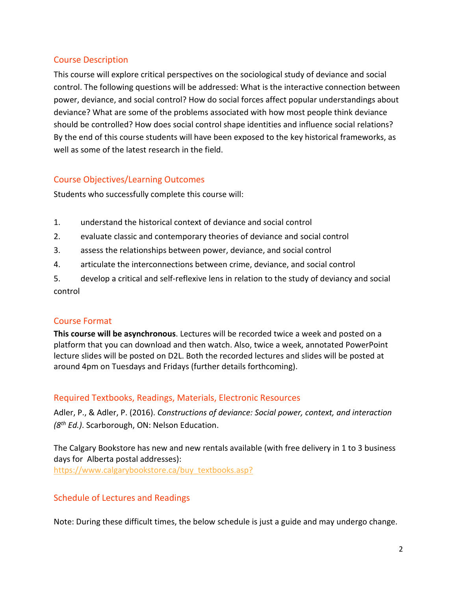# Course Description

This course will explore critical perspectives on the sociological study of deviance and social control. The following questions will be addressed: What is the interactive connection between power, deviance, and social control? How do social forces affect popular understandings about deviance? What are some of the problems associated with how most people think deviance should be controlled? How does social control shape identities and influence social relations? By the end of this course students will have been exposed to the key historical frameworks, as well as some of the latest research in the field.

# Course Objectives/Learning Outcomes

Students who successfully complete this course will:

- 1. understand the historical context of deviance and social control
- 2. evaluate classic and contemporary theories of deviance and social control
- 3. assess the relationships between power, deviance, and social control
- 4. articulate the interconnections between crime, deviance, and social control
- 5. develop a critical and self-reflexive lens in relation to the study of deviancy and social control

# Course Format

**This course will be asynchronous**. Lectures will be recorded twice a week and posted on a platform that you can download and then watch. Also, twice a week, annotated PowerPoint lecture slides will be posted on D2L. Both the recorded lectures and slides will be posted at around 4pm on Tuesdays and Fridays (further details forthcoming).

# Required Textbooks, Readings, Materials, Electronic Resources

Adler, P., & Adler, P. (2016). *Constructions of deviance: Social power, context, and interaction (8th Ed.)*. Scarborough, ON: Nelson Education.

The Calgary Bookstore has new and new rentals available (with free delivery in 1 to 3 business days for Alberta postal addresses): [https://www.calgarybookstore.ca/buy\\_textbooks.asp?](https://www.calgarybookstore.ca/buy_textbooks.asp?)

# Schedule of Lectures and Readings

Note: During these difficult times, the below schedule is just a guide and may undergo change.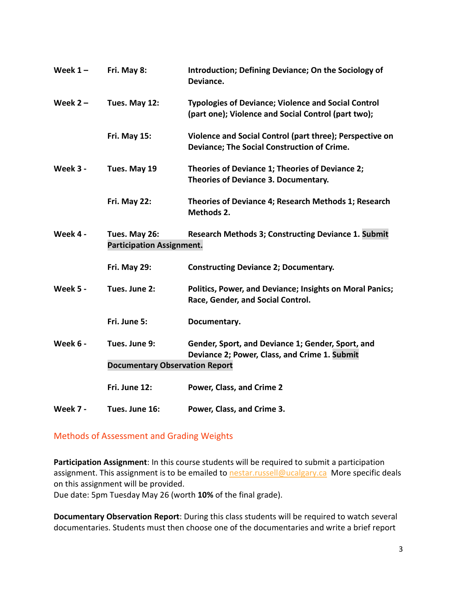| Week $1 -$ | Fri. May 8:                                                                                                     | Introduction; Defining Deviance; On the Sociology of<br>Deviance.                                                 |  |  |  |
|------------|-----------------------------------------------------------------------------------------------------------------|-------------------------------------------------------------------------------------------------------------------|--|--|--|
| Week $2 -$ | Tues. May 12:                                                                                                   | <b>Typologies of Deviance; Violence and Social Control</b><br>(part one); Violence and Social Control (part two); |  |  |  |
|            | <b>Fri. May 15:</b>                                                                                             | Violence and Social Control (part three); Perspective on<br>Deviance; The Social Construction of Crime.           |  |  |  |
| Week 3 -   | Tues. May 19                                                                                                    | Theories of Deviance 1; Theories of Deviance 2;<br>Theories of Deviance 3. Documentary.                           |  |  |  |
|            | Fri. May 22:                                                                                                    | Theories of Deviance 4; Research Methods 1; Research<br>Methods 2.                                                |  |  |  |
| Week 4 -   | <b>Research Methods 3; Constructing Deviance 1. Submit</b><br>Tues. May 26:<br><b>Participation Assignment.</b> |                                                                                                                   |  |  |  |
|            | <b>Fri. May 29:</b>                                                                                             | <b>Constructing Deviance 2; Documentary.</b>                                                                      |  |  |  |
| Week 5 -   | Tues. June 2:                                                                                                   | Politics, Power, and Deviance; Insights on Moral Panics;<br>Race, Gender, and Social Control.                     |  |  |  |
|            | Fri. June 5:                                                                                                    | Documentary.                                                                                                      |  |  |  |
| Week 6 -   | Tues. June 9:                                                                                                   | Gender, Sport, and Deviance 1; Gender, Sport, and<br>Deviance 2; Power, Class, and Crime 1. Submit                |  |  |  |
|            | <b>Documentary Observation Report</b>                                                                           |                                                                                                                   |  |  |  |
|            | Fri. June 12:                                                                                                   | Power, Class, and Crime 2                                                                                         |  |  |  |
| Week 7 -   | Tues. June 16:                                                                                                  | Power, Class, and Crime 3.                                                                                        |  |  |  |

# Methods of Assessment and Grading Weights

**Participation Assignment**: In this course students will be required to submit a participation assignment. This assignment is to be emailed to [nestar.russell@ucalgary.ca](mailto:nestar.russell@ucalgary.ca) More specific deals on this assignment will be provided.

Due date: 5pm Tuesday May 26 (worth **10%** of the final grade).

**Documentary Observation Report**: During this class students will be required to watch several documentaries. Students must then choose one of the documentaries and write a brief report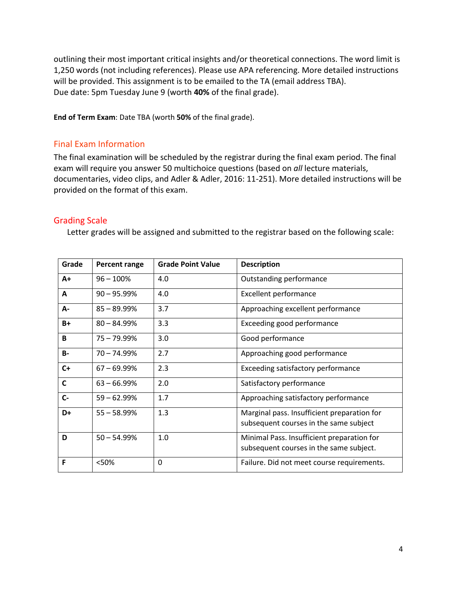outlining their most important critical insights and/or theoretical connections. The word limit is 1,250 words (not including references). Please use APA referencing. More detailed instructions will be provided. This assignment is to be emailed to the TA (email address TBA). Due date: 5pm Tuesday June 9 (worth **40%** of the final grade).

**End of Term Exam**: Date TBA (worth **50%** of the final grade).

#### Final Exam Information

The final examination will be scheduled by the registrar during the final exam period. The final exam will require you answer 50 multichoice questions (based on *all* lecture materials, documentaries, video clips, and Adler & Adler, 2016: 11-251). More detailed instructions will be provided on the format of this exam.

#### Grading Scale

Letter grades will be assigned and submitted to the registrar based on the following scale:

| Grade        | Percent range  | <b>Grade Point Value</b> | <b>Description</b>                                                                    |
|--------------|----------------|--------------------------|---------------------------------------------------------------------------------------|
| $A+$         | $96 - 100%$    | 4.0                      | Outstanding performance                                                               |
| A            | $90 - 95.99%$  | 4.0                      | <b>Excellent performance</b>                                                          |
| А-           | $85 - 89.99%$  | 3.7                      | Approaching excellent performance                                                     |
| $B+$         | $80 - 84.99\%$ | 3.3                      | Exceeding good performance                                                            |
| B            | $75 - 79.99\%$ | 3.0                      | Good performance                                                                      |
| <b>B-</b>    | $70 - 74.99%$  | 2.7                      | Approaching good performance                                                          |
| $C+$         | $67 - 69.99\%$ | 2.3                      | Exceeding satisfactory performance                                                    |
| $\mathbf{C}$ | $63 - 66.99\%$ | 2.0                      | Satisfactory performance                                                              |
| $C -$        | $59 - 62.99%$  | 1.7                      | Approaching satisfactory performance                                                  |
| D+           | $55 - 58.99%$  | 1.3                      | Marginal pass. Insufficient preparation for<br>subsequent courses in the same subject |
| D            | $50 - 54.99%$  | 1.0                      | Minimal Pass. Insufficient preparation for<br>subsequent courses in the same subject. |
| F            | <50%           | 0                        | Failure. Did not meet course requirements.                                            |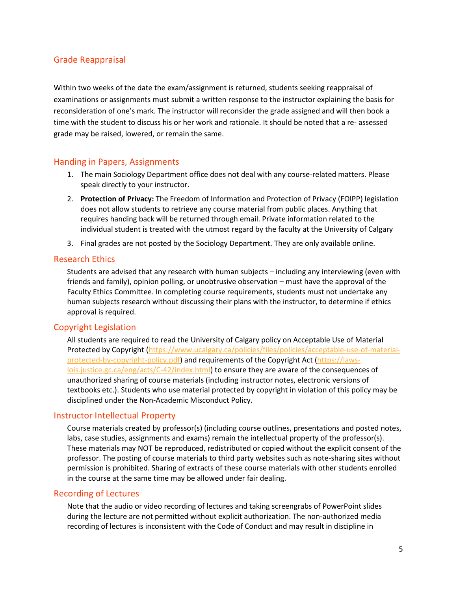### Grade Reappraisal

Within two weeks of the date the exam/assignment is returned, students seeking reappraisal of examinations or assignments must submit a written response to the instructor explaining the basis for reconsideration of one's mark. The instructor will reconsider the grade assigned and will then book a time with the student to discuss his or her work and rationale. It should be noted that a re- assessed grade may be raised, lowered, or remain the same.

#### Handing in Papers, Assignments

- 1. The main Sociology Department office does not deal with any course-related matters. Please speak directly to your instructor.
- 2. **Protection of Privacy:** The Freedom of Information and Protection of Privacy (FOIPP) legislation does not allow students to retrieve any course material from public places. Anything that requires handing back will be returned through email. Private information related to the individual student is treated with the utmost regard by the faculty at the University of Calgary
- 3. Final grades are not posted by the Sociology Department. They are only available online.

#### Research Ethics

Students are advised that any research with human subjects – including any interviewing (even with friends and family), opinion polling, or unobtrusive observation – must have the approval of the Faculty Ethics Committee. In completing course requirements, students must not undertake any human subjects research without discussing their plans with the instructor, to determine if ethics approval is required.

#### Copyright Legislation

All students are required to read the University of Calgary policy on Acceptable Use of Material Protected by Copyright [\(https://www.ucalgary.ca/policies/files/policies/acceptable-use-of-material](https://www.ucalgary.ca/policies/files/policies/acceptable-use-of-material-protected-by-copyright-policy.pdf)[protected-by-copyright-policy.pdf\)](https://www.ucalgary.ca/policies/files/policies/acceptable-use-of-material-protected-by-copyright-policy.pdf) and requirements of the Copyright Act [\(https://laws](https://laws-lois.justice.gc.ca/eng/acts/C-42/index.html)[lois.justice.gc.ca/eng/acts/C-42/index.html\)](https://laws-lois.justice.gc.ca/eng/acts/C-42/index.html) to ensure they are aware of the consequences of unauthorized sharing of course materials (including instructor notes, electronic versions of textbooks etc.). Students who use material protected by copyright in violation of this policy may be disciplined under the Non-Academic Misconduct Policy.

#### Instructor Intellectual Property

Course materials created by professor(s) (including course outlines, presentations and posted notes, labs, case studies, assignments and exams) remain the intellectual property of the professor(s). These materials may NOT be reproduced, redistributed or copied without the explicit consent of the professor. The posting of course materials to third party websites such as note-sharing sites without permission is prohibited. Sharing of extracts of these course materials with other students enrolled in the course at the same time may be allowed under fair dealing.

#### Recording of Lectures

Note that the audio or video recording of lectures and taking screengrabs of PowerPoint slides during the lecture are not permitted without explicit authorization. The non-authorized media recording of lectures is inconsistent with the Code of Conduct and may result in discipline in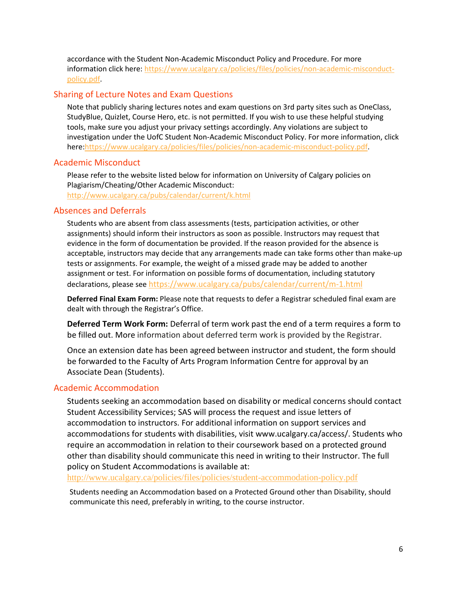accordance with the Student Non-Academic Misconduct Policy and Procedure. For more information click here: [https://www.ucalgary.ca/policies/files/policies/non-academic-misconduct](https://www.ucalgary.ca/policies/files/policies/non-academic-misconduct-policy.pdf)[policy.pdf.](https://www.ucalgary.ca/policies/files/policies/non-academic-misconduct-policy.pdf)

# Sharing of Lecture Notes and Exam Questions

Note that publicly sharing lectures notes and exam questions on 3rd party sites such as OneClass, StudyBlue, Quizlet, Course Hero, etc. is not permitted. If you wish to use these helpful studying tools, make sure you adjust your privacy settings accordingly. Any violations are subject to investigation under the UofC Student Non-Academic Misconduct Policy. For more information, click here:https://www.ucalgary.ca/policies/files/policies/non-academic-misconduct-policy.pdf

# Academic Misconduct

Please refer to the website listed below for information on University of Calgary policies on Plagiarism/Cheating/Other Academic Misconduct: <http://www.ucalgary.ca/pubs/calendar/current/k.html>

# Absences and Deferrals

Students who are absent from class assessments (tests, participation activities, or other assignments) should inform their instructors as soon as possible. Instructors may request that evidence in the form of documentation be provided. If the reason provided for the absence is acceptable, instructors may decide that any arrangements made can take forms other than make-up tests or assignments. For example, the weight of a missed grade may be added to another assignment or test. For information on possible forms of documentation, including statutory declarations, please see <https://www.ucalgary.ca/pubs/calendar/current/m-1.html>

**Deferred Final Exam Form:** Please note that requests to defer a Registrar scheduled final exam are dealt with through the Registrar's Office.

**Deferred Term Work Form:** Deferral of term work past the end of a term requires a form to be filled out. More information about deferred term work is provided by the Registrar.

Once an extension date has been agreed between instructor and student, the form should be forwarded to the Faculty of Arts Program Information Centre for approval by an Associate Dean (Students).

# Academic Accommodation

Students seeking an accommodation based on disability or medical concerns should contact Student Accessibility Services; SAS will process the request and issue letters of accommodation to instructors. For additional information on support services and accommodations for students with disabilities, visit www.ucalgary.ca/access/. Students who require an accommodation in relation to their coursework based on a protected ground other than disability should communicate this need in writing to their Instructor. The full policy on Student Accommodations is available at:

<http://www.ucalgary.ca/policies/files/policies/student-accommodation-policy.pdf>

Students needing an Accommodation based on a Protected Ground other than Disability, should communicate this need, preferably in writing, to the course instructor.